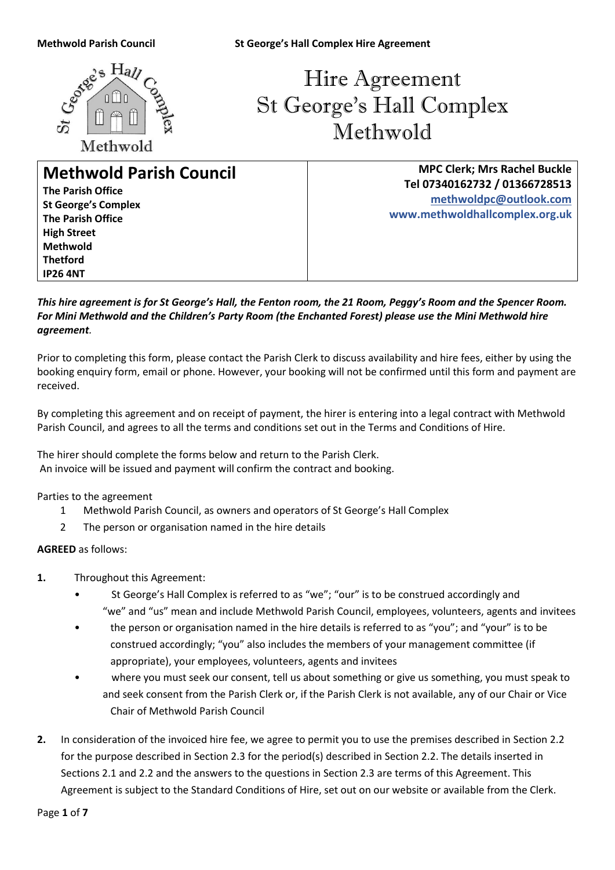**Thetford IP26 4NT**



# Methwold Parish Council St George's Hall Complex Hire Agreement<br>  $\frac{e^{39}}{20}$ <br>  $\frac{1}{10}$ <br>  $\frac{1}{10}$ Hire Agreement St George's Hall Complex Methwold

**Methwold Parish Council The Parish Office St George's Complex The Parish Office High Street Methwold**

**MPC Clerk; Mrs Rachel Buckle Tel 07340162732 / 01366728513 [methwoldpc@outlook.com](mailto:methwoldpc@outlook.com) www.methwoldhallcomplex.org.uk**

## *This hire agreement is for St George's Hall, the Fenton room, the 21 Room, Peggy's Room and the Spencer Room. For Mini Methwold and the Children's Party Room (the Enchanted Forest) please use the Mini Methwold hire agreement.*

Prior to completing this form, please contact the Parish Clerk to discuss availability and hire fees, either by using the booking enquiry form, email or phone. However, your booking will not be confirmed until this form and payment are received.

By completing this agreement and on receipt of payment, the hirer is entering into a legal contract with Methwold Parish Council, and agrees to all the terms and conditions set out in the Terms and Conditions of Hire.

The hirer should complete the forms below and return to the Parish Clerk. An invoice will be issued and payment will confirm the contract and booking.

### Parties to the agreement

- 1 Methwold Parish Council, as owners and operators of St George's Hall Complex
- 2 The person or organisation named in the hire details

### **AGREED** as follows:

- **1.** Throughout this Agreement:
	- St George's Hall Complex is referred to as "we"; "our" is to be construed accordingly and "we" and "us" mean and include Methwold Parish Council, employees, volunteers, agents and invitees
	- the person or organisation named in the hire details is referred to as "you"; and "your" is to be construed accordingly; "you" also includes the members of your management committee (if appropriate), your employees, volunteers, agents and invitees
	- where you must seek our consent, tell us about something or give us something, you must speak to and seek consent from the Parish Clerk or, if the Parish Clerk is not available, any of our Chair or Vice Chair of Methwold Parish Council
- **2.** In consideration of the invoiced hire fee, we agree to permit you to use the premises described in Section 2.2 for the purpose described in Section 2.3 for the period(s) described in Section 2.2. The details inserted in Sections 2.1 and 2.2 and the answers to the questions in Section 2.3 are terms of this Agreement. This Agreement is subject to the Standard Conditions of Hire, set out on our website or available from the Clerk.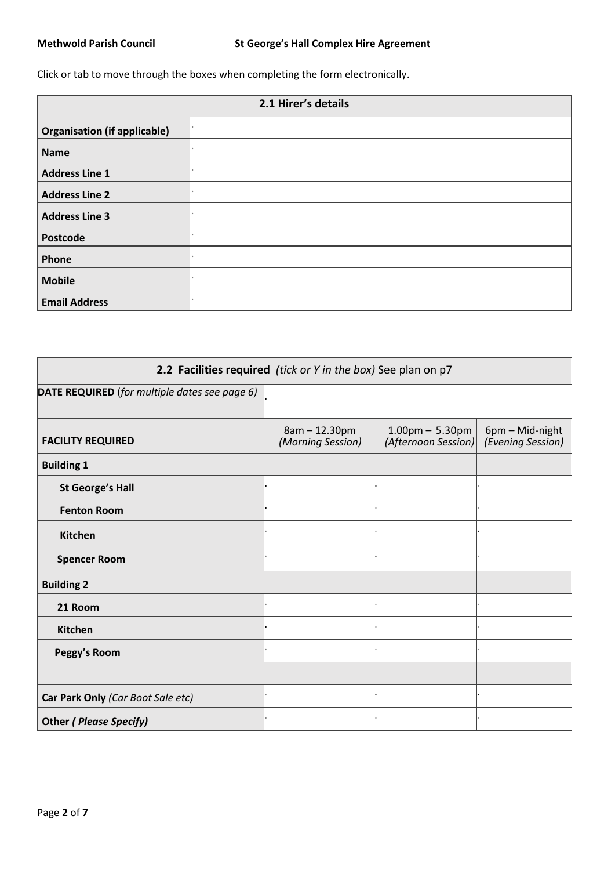Click or tab to move through the boxes when completing the form electronically.

| 2.1 Hirer's details                 |  |  |
|-------------------------------------|--|--|
| <b>Organisation (if applicable)</b> |  |  |
| <b>Name</b>                         |  |  |
| <b>Address Line 1</b>               |  |  |
| <b>Address Line 2</b>               |  |  |
| <b>Address Line 3</b>               |  |  |
| <b>Postcode</b>                     |  |  |
| Phone                               |  |  |
| <b>Mobile</b>                       |  |  |
| <b>Email Address</b>                |  |  |

| 2.2 Facilities required (tick or Y in the box) See plan on p7 |                                    |                                             |                                      |
|---------------------------------------------------------------|------------------------------------|---------------------------------------------|--------------------------------------|
| <b>DATE REQUIRED</b> (for multiple dates see page 6)          |                                    |                                             |                                      |
| <b>FACILITY REQUIRED</b>                                      | 8am - 12.30pm<br>(Morning Session) | $1.00$ pm $-5.30$ pm<br>(Afternoon Session) | 6pm - Mid-night<br>(Evening Session) |
| <b>Building 1</b>                                             |                                    |                                             |                                      |
| <b>St George's Hall</b>                                       |                                    |                                             |                                      |
| <b>Fenton Room</b>                                            |                                    |                                             |                                      |
| <b>Kitchen</b>                                                |                                    |                                             |                                      |
| <b>Spencer Room</b>                                           |                                    |                                             |                                      |
| <b>Building 2</b>                                             |                                    |                                             |                                      |
| 21 Room                                                       |                                    |                                             |                                      |
| <b>Kitchen</b>                                                |                                    |                                             |                                      |
| Peggy's Room                                                  |                                    |                                             |                                      |
|                                                               |                                    |                                             |                                      |
| Car Park Only (Car Boot Sale etc)                             |                                    |                                             |                                      |
| <b>Other ( Please Specify)</b>                                |                                    |                                             |                                      |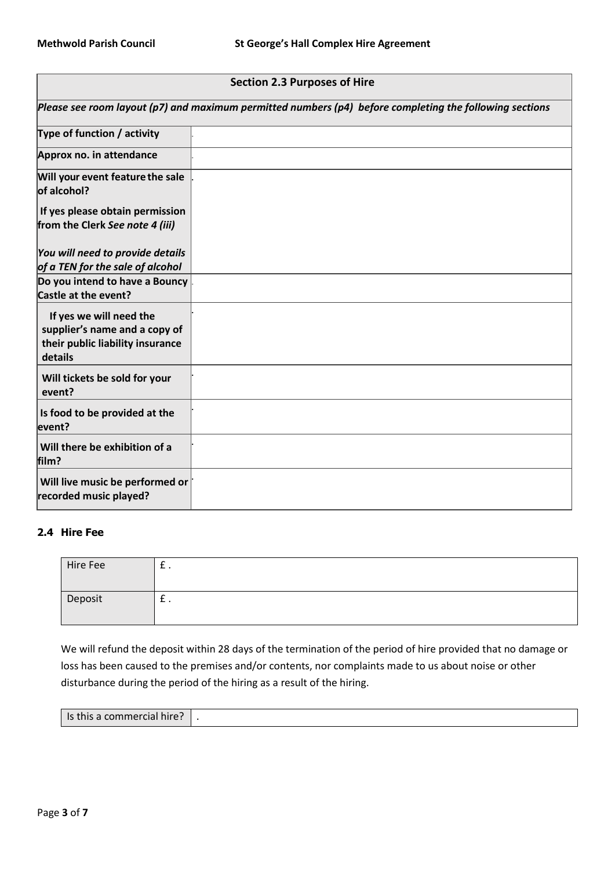| <b>Section 2.3 Purposes of Hire</b>                                                                     |  |  |  |
|---------------------------------------------------------------------------------------------------------|--|--|--|
| Please see room layout (p7) and maximum permitted numbers (p4) before completing the following sections |  |  |  |
| Type of function / activity                                                                             |  |  |  |
| Approx no. in attendance                                                                                |  |  |  |
| Will your event feature the sale<br>of alcohol?                                                         |  |  |  |
| If yes please obtain permission<br>from the Clerk See note 4 (iii)                                      |  |  |  |
| You will need to provide details<br>of a TEN for the sale of alcohol                                    |  |  |  |
| Do you intend to have a Bouncy<br>Castle at the event?                                                  |  |  |  |
| If yes we will need the<br>supplier's name and a copy of<br>their public liability insurance<br>details |  |  |  |
| Will tickets be sold for your<br>event?                                                                 |  |  |  |
| Is food to be provided at the<br>event?                                                                 |  |  |  |
| Will there be exhibition of a<br>film?                                                                  |  |  |  |
| Will live music be performed or<br>recorded music played?                                               |  |  |  |

### **2.4 Hire Fee**

| Hire Fee | <u>.</u> . |
|----------|------------|
| Deposit  | <u>.</u>   |

We will refund the deposit within 28 days of the termination of the period of hire provided that no damage or loss has been caused to the premises and/or contents, nor complaints made to us about noise or other disturbance during the period of the hiring as a result of the hiring.

| Is this a commercial hire? |  |
|----------------------------|--|
|                            |  |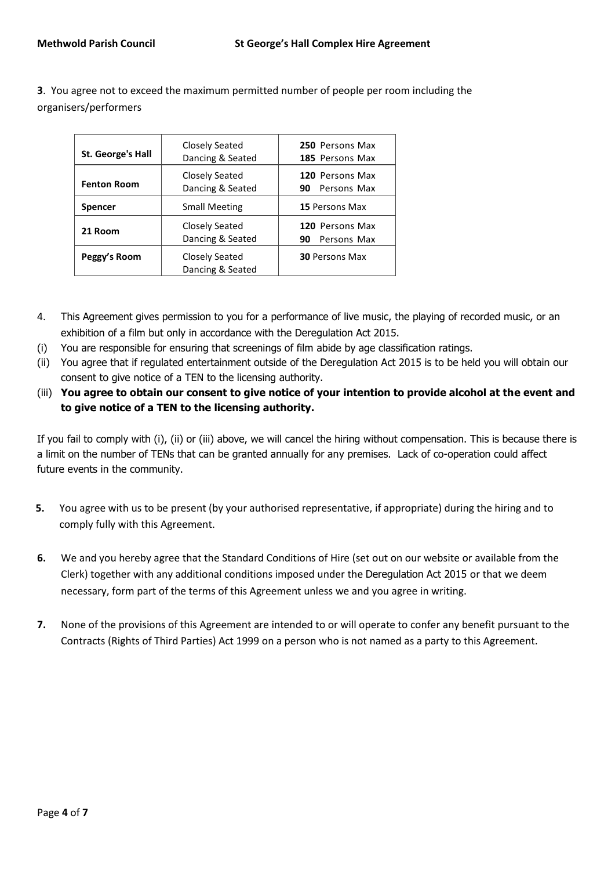**3**. You agree not to exceed the maximum permitted number of people per room including the organisers/performers

| St. George's Hall  | Closely Seated<br>Dancing & Seated | 250 Persons Max<br>185 Persons Max   |  |
|--------------------|------------------------------------|--------------------------------------|--|
| <b>Fenton Room</b> | Closely Seated<br>Dancing & Seated | 120 Persons Max<br>Persons Max<br>90 |  |
| <b>Spencer</b>     | <b>Small Meeting</b>               | <b>15 Persons Max</b>                |  |
| 21 Room            | Closely Seated<br>Dancing & Seated | 120 Persons Max<br>90 Persons Max    |  |
| Peggy's Room       | Closely Seated<br>Dancing & Seated | <b>30 Persons Max</b>                |  |

- 4. This Agreement gives permission to you for a performance of live music, the playing of recorded music, or an exhibition of a film but only in accordance with the Deregulation Act 2015.
- (i) You are responsible for ensuring that screenings of film abide by age classification ratings.
- (ii) You agree that if regulated entertainment outside of the Deregulation Act 2015 is to be held you will obtain our consent to give notice of a TEN to the licensing authority.
- (iii) **You agree to obtain our consent to give notice of your intention to provide alcohol at the event and to give notice of a TEN to the licensing authority.**

If you fail to comply with (i), (ii) or (iii) above, we will cancel the hiring without compensation. This is because there is a limit on the number of TENs that can be granted annually for any premises. Lack of co-operation could affect future events in the community.

- **5.** You agree with us to be present (by your authorised representative, if appropriate) during the hiring and to comply fully with this Agreement.
- **6.** We and you hereby agree that the Standard Conditions of Hire (set out on our website or available from the Clerk) together with any additional conditions imposed under the Deregulation Act 2015 or that we deem necessary, form part of the terms of this Agreement unless we and you agree in writing.
- **7.** None of the provisions of this Agreement are intended to or will operate to confer any benefit pursuant to the Contracts (Rights of Third Parties) Act 1999 on a person who is not named as a party to this Agreement.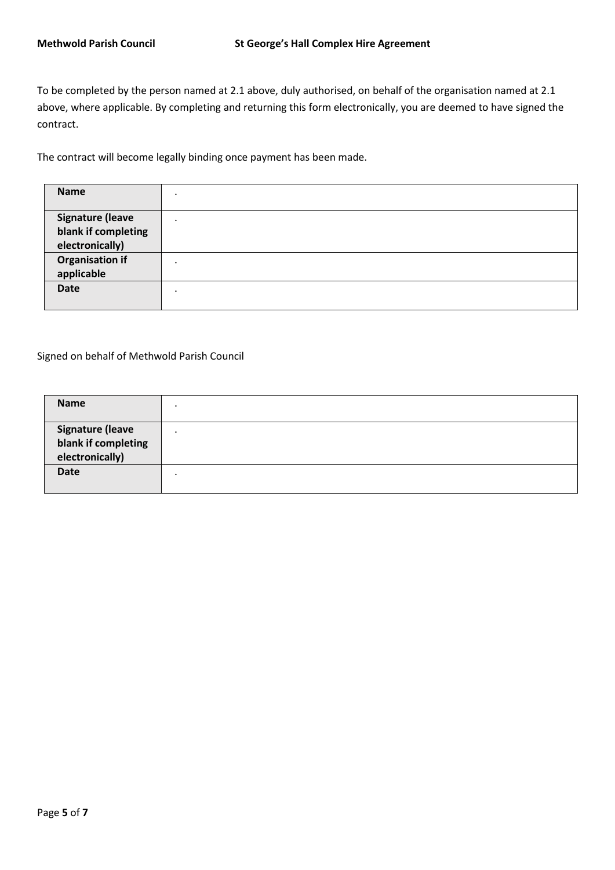To be completed by the person named at 2.1 above, duly authorised, on behalf of the organisation named at 2.1 above, where applicable. By completing and returning this form electronically, you are deemed to have signed the contract.

The contract will become legally binding once payment has been made.

| <b>Name</b>             | ٠       |
|-------------------------|---------|
|                         |         |
| <b>Signature (leave</b> | $\cdot$ |
| blank if completing     |         |
| electronically)         |         |
| <b>Organisation if</b>  |         |
| applicable              |         |
| <b>Date</b>             | ٠       |
|                         |         |

#### Signed on behalf of Methwold Parish Council

| <b>Name</b>                             |  |
|-----------------------------------------|--|
|                                         |  |
|                                         |  |
| Signature (leave<br>blank if completing |  |
|                                         |  |
| electronically)                         |  |
| <b>Date</b>                             |  |
|                                         |  |
|                                         |  |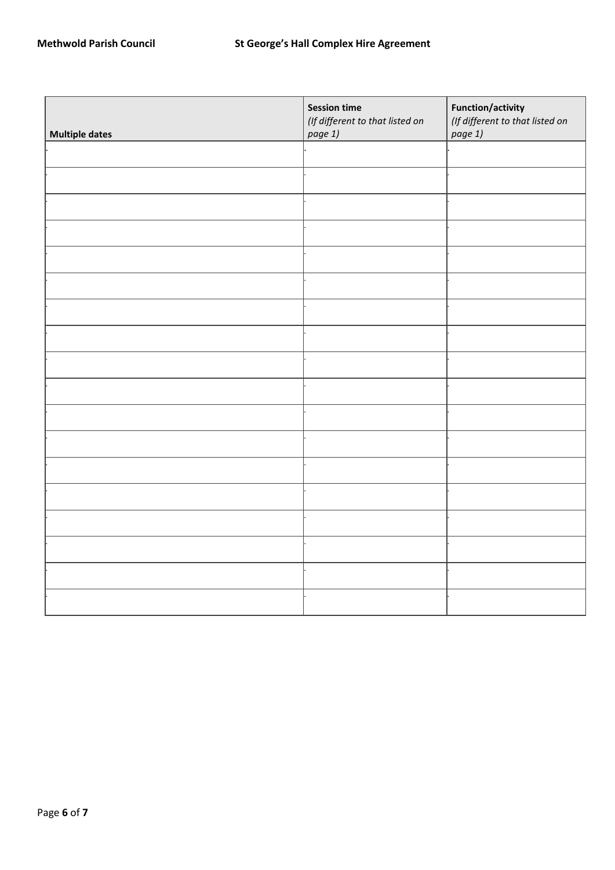| <b>Multiple dates</b> | <b>Session time</b><br>(If different to that listed on<br>page 1) | <b>Function/activity</b><br>(If different to that listed on<br>page 1) |
|-----------------------|-------------------------------------------------------------------|------------------------------------------------------------------------|
|                       |                                                                   |                                                                        |
|                       |                                                                   |                                                                        |
|                       |                                                                   |                                                                        |
|                       |                                                                   |                                                                        |
|                       |                                                                   |                                                                        |
|                       |                                                                   |                                                                        |
|                       |                                                                   |                                                                        |
|                       |                                                                   |                                                                        |
|                       |                                                                   |                                                                        |
|                       |                                                                   |                                                                        |
|                       |                                                                   |                                                                        |
|                       |                                                                   |                                                                        |
|                       |                                                                   |                                                                        |
|                       |                                                                   |                                                                        |
|                       |                                                                   |                                                                        |
|                       |                                                                   |                                                                        |
|                       |                                                                   |                                                                        |
|                       |                                                                   |                                                                        |